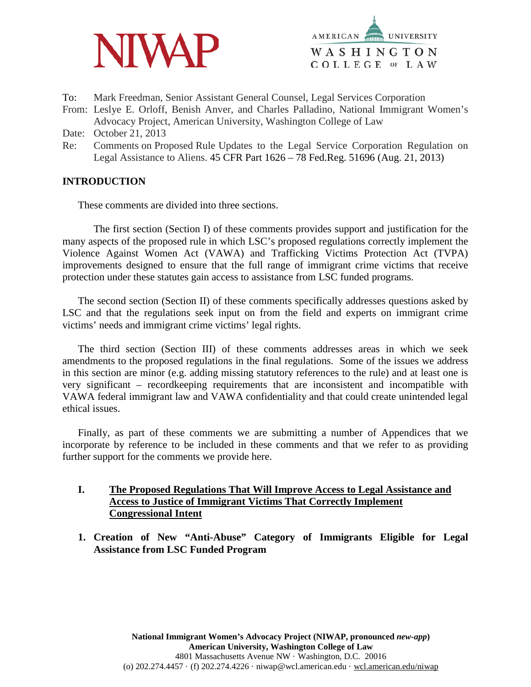



- To: Mark Freedman, Senior Assistant General Counsel, Legal Services Corporation
- From: Leslye E. Orloff, Benish Anver, and Charles Palladino, National Immigrant Women's Advocacy Project, American University, Washington College of Law
- Date: October 21, 2013
- Re: Comments on Proposed Rule Updates to the Legal Service Corporation Regulation on Legal Assistance to Aliens. 45 CFR Part 1626 – 78 Fed.Reg. 51696 (Aug. 21, 2013)

# **INTRODUCTION**

These comments are divided into three sections.

The first section (Section I) of these comments provides support and justification for the many aspects of the proposed rule in which LSC's proposed regulations correctly implement the Violence Against Women Act (VAWA) and Trafficking Victims Protection Act (TVPA) improvements designed to ensure that the full range of immigrant crime victims that receive protection under these statutes gain access to assistance from LSC funded programs.

The second section (Section II) of these comments specifically addresses questions asked by LSC and that the regulations seek input on from the field and experts on immigrant crime victims' needs and immigrant crime victims' legal rights.

The third section (Section III) of these comments addresses areas in which we seek amendments to the proposed regulations in the final regulations. Some of the issues we address in this section are minor (e.g. adding missing statutory references to the rule) and at least one is very significant – recordkeeping requirements that are inconsistent and incompatible with VAWA federal immigrant law and VAWA confidentiality and that could create unintended legal ethical issues.

Finally, as part of these comments we are submitting a number of Appendices that we incorporate by reference to be included in these comments and that we refer to as providing further support for the comments we provide here.

# **I. The Proposed Regulations That Will Improve Access to Legal Assistance and Access to Justice of Immigrant Victims That Correctly Implement Congressional Intent**

**1. Creation of New "Anti-Abuse" Category of Immigrants Eligible for Legal Assistance from LSC Funded Program**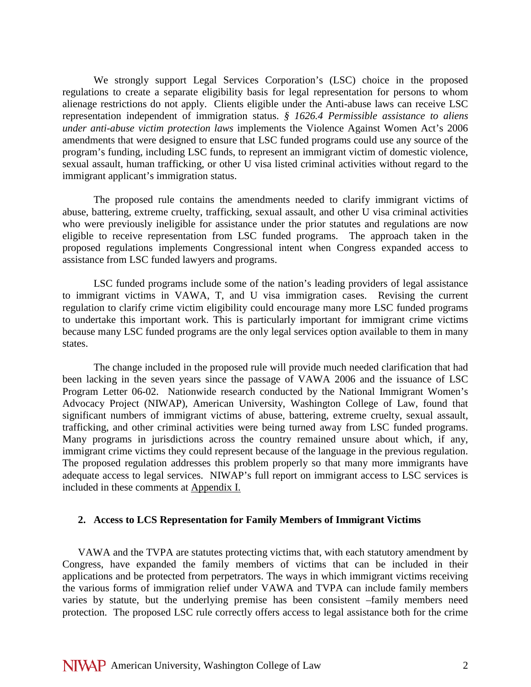We strongly support Legal Services Corporation's (LSC) choice in the proposed regulations to create a separate eligibility basis for legal representation for persons to whom alienage restrictions do not apply. Clients eligible under the Anti-abuse laws can receive LSC representation independent of immigration status. *§ 1626.4 Permissible assistance to aliens under anti-abuse victim protection laws* implements the Violence Against Women Act's 2006 amendments that were designed to ensure that LSC funded programs could use any source of the program's funding, including LSC funds, to represent an immigrant victim of domestic violence, sexual assault, human trafficking, or other U visa listed criminal activities without regard to the immigrant applicant's immigration status.

The proposed rule contains the amendments needed to clarify immigrant victims of abuse, battering, extreme cruelty, trafficking, sexual assault, and other U visa criminal activities who were previously ineligible for assistance under the prior statutes and regulations are now eligible to receive representation from LSC funded programs. The approach taken in the proposed regulations implements Congressional intent when Congress expanded access to assistance from LSC funded lawyers and programs.

LSC funded programs include some of the nation's leading providers of legal assistance to immigrant victims in VAWA, T, and U visa immigration cases. Revising the current regulation to clarify crime victim eligibility could encourage many more LSC funded programs to undertake this important work. This is particularly important for immigrant crime victims because many LSC funded programs are the only legal services option available to them in many states.

The change included in the proposed rule will provide much needed clarification that had been lacking in the seven years since the passage of VAWA 2006 and the issuance of LSC Program Letter 06-02. Nationwide research conducted by the National Immigrant Women's Advocacy Project (NIWAP), American University, Washington College of Law, found that significant numbers of immigrant victims of abuse, battering, extreme cruelty, sexual assault, trafficking, and other criminal activities were being turned away from LSC funded programs. Many programs in jurisdictions across the country remained unsure about which, if any, immigrant crime victims they could represent because of the language in the previous regulation. The proposed regulation addresses this problem properly so that many more immigrants have adequate access to legal services. NIWAP's full report on immigrant access to LSC services is included in these comments at Appendix I.

#### **2. Access to LCS Representation for Family Members of Immigrant Victims**

VAWA and the TVPA are statutes protecting victims that, with each statutory amendment by Congress, have expanded the family members of victims that can be included in their applications and be protected from perpetrators. The ways in which immigrant victims receiving the various forms of immigration relief under VAWA and TVPA can include family members varies by statute, but the underlying premise has been consistent –family members need protection. The proposed LSC rule correctly offers access to legal assistance both for the crime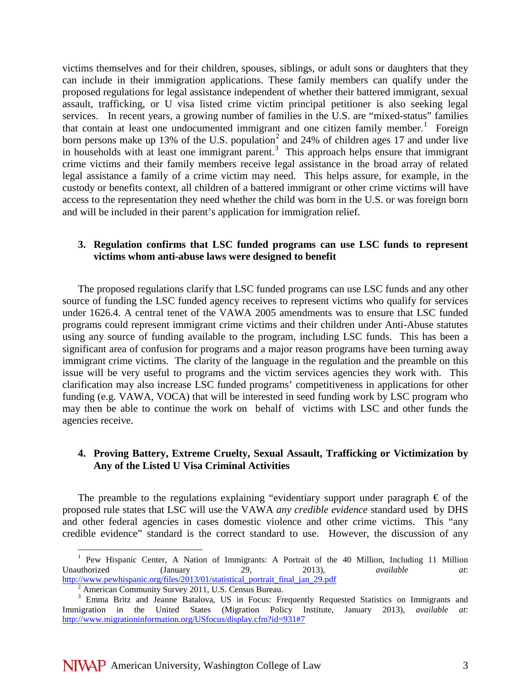victims themselves and for their children, spouses, siblings, or adult sons or daughters that they can include in their immigration applications. These family members can qualify under the proposed regulations for legal assistance independent of whether their battered immigrant, sexual assault, trafficking, or U visa listed crime victim principal petitioner is also seeking legal services. In recent years, a growing number of families in the U.S. are "mixed-status" families that contain at least one undocumented immigrant and one citizen family member.<sup>[1](#page-2-0)</sup> Foreign born persons make up 13% of the U.S. population<sup>[2](#page-2-1)</sup> and 24% of children ages 17 and under live in households with at least one immigrant parent.<sup>[3](#page-2-2)</sup> This approach helps ensure that immigrant crime victims and their family members receive legal assistance in the broad array of related legal assistance a family of a crime victim may need. This helps assure, for example, in the custody or benefits context, all children of a battered immigrant or other crime victims will have access to the representation they need whether the child was born in the U.S. or was foreign born and will be included in their parent's application for immigration relief.

### **3. Regulation confirms that LSC funded programs can use LSC funds to represent victims whom anti-abuse laws were designed to benefit**

The proposed regulations clarify that LSC funded programs can use LSC funds and any other source of funding the LSC funded agency receives to represent victims who qualify for services under 1626.4. A central tenet of the VAWA 2005 amendments was to ensure that LSC funded programs could represent immigrant crime victims and their children under Anti-Abuse statutes using any source of funding available to the program, including LSC funds. This has been a significant area of confusion for programs and a major reason programs have been turning away immigrant crime victims. The clarity of the language in the regulation and the preamble on this issue will be very useful to programs and the victim services agencies they work with. This clarification may also increase LSC funded programs' competitiveness in applications for other funding (e.g. VAWA, VOCA) that will be interested in seed funding work by LSC program who may then be able to continue the work on behalf of victims with LSC and other funds the agencies receive.

# **4. Proving Battery, Extreme Cruelty, Sexual Assault, Trafficking or Victimization by Any of the Listed U Visa Criminal Activities**

The preamble to the regulations explaining "evidentiary support under paragraph  $\epsilon$  of the proposed rule states that LSC will use the VAWA *any credible evidence* standard used by DHS and other federal agencies in cases domestic violence and other crime victims. This "any credible evidence" standard is the correct standard to use. However, the discussion of any

<span id="page-2-0"></span><sup>&</sup>lt;sup>1</sup> Pew Hispanic Center, A Nation of Immigrants: A Portrait of the 40 Million, Including 11 Million Unauthorized (January 29, 2013), *available at*: http://www.pewhispanic.org/files/2013/01/statistical portrait final jan 29.pdf <sup>2</sup> American Community Survey 2011, U.S. Census Bureau.

<span id="page-2-2"></span><span id="page-2-1"></span><sup>&</sup>lt;sup>3</sup> Emma Britz and Jeanne Batalova, US in Focus: Frequently Requested Statistics on Immigrants and Immigration in the United States (Migration Policy Institute, January 2013), *available at*: <http://www.migrationinformation.org/USfocus/display.cfm?id=931#7>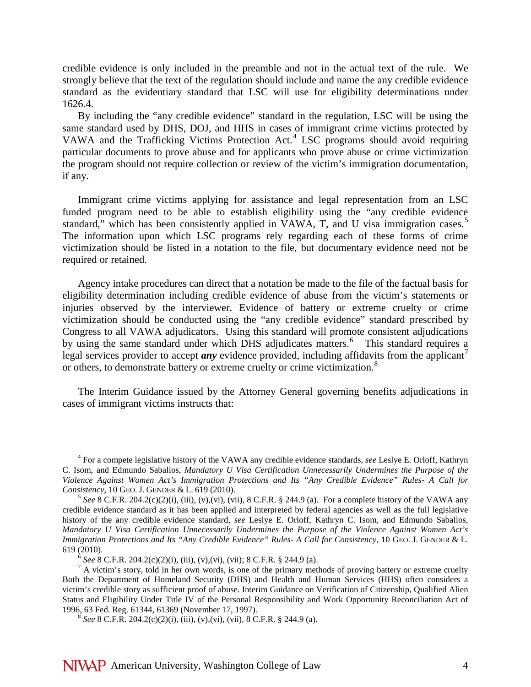credible evidence is only included in the preamble and not in the actual text of the rule. We strongly believe that the text of the regulation should include and name the any credible evidence standard as the evidentiary standard that LSC will use for eligibility determinations under 1626.4.

By including the "any credible evidence" standard in the regulation, LSC will be using the same standard used by DHS, DOJ, and HHS in cases of immigrant crime victims protected by VAWA and the Trafficking Victims Protection Act.<sup>[4](#page-3-0)</sup> LSC programs should avoid requiring particular documents to prove abuse and for applicants who prove abuse or crime victimization the program should not require collection or review of the victim's immigration documentation, if any.

Immigrant crime victims applying for assistance and legal representation from an LSC funded program need to be able to establish eligibility using the "any credible evidence standard," which has been consistently applied in VAWA, T, and U visa immigration cases.<sup>[5](#page-3-1)</sup> The information upon which LSC programs rely regarding each of these forms of crime victimization should be listed in a notation to the file, but documentary evidence need not be required or retained.

Agency intake procedures can direct that a notation be made to the file of the factual basis for eligibility determination including credible evidence of abuse from the victim's statements or injuries observed by the interviewer. Evidence of battery or extreme cruelty or crime victimization should be conducted using the "any credible evidence" standard prescribed by Congress to all VAWA adjudicators. Using this standard will promote consistent adjudications by using the same standard under which DHS adjudicates matters.<sup>[6](#page-3-2)</sup> This standard requires a legal services provider to accept  $any$  evidence provided, including affidavits from the applicant<sup>[7](#page-3-3)</sup> or others, to demonstrate battery or extreme cruelty or crime victimization.<sup>[8](#page-3-4)</sup>

The Interim Guidance issued by the Attorney General governing benefits adjudications in cases of immigrant victims instructs that:

<span id="page-3-0"></span> <sup>4</sup> For a compete legislative history of the VAWA any credible evidence standards, *see* Leslye E. Orloff, Kathryn C. Isom, and Edmundo Saballos, *Mandatory U Visa Certification Unnecessarily Undermines the Purpose of the Violence Against Women Act's Immigration Protections and Its "Any Credible Evidence" Rules- A Call for* 

<span id="page-3-1"></span><sup>&</sup>lt;sup>5</sup> See 8 C.F.R. 204.2(c)(2)(i), (iii), (v),(vi), (vii), 8 C.F.R. § 244.9 (a). For a complete history of the VAWA any credible evidence standard as it has been applied and interpreted by federal agencies as well as the full legislative history of the any credible evidence standard, *see* Leslye E. Orloff, Kathryn C. Isom, and Edmundo Saballos, *Mandatory U Visa Certification Unnecessarily Undermines the Purpose of the Violence Against Women Act's Immigration Protections and Its "Any Credible Evidence" Rules-A Call for Consistency*, 10 GEO. J. GENDER & L. 619 (2010).

<span id="page-3-3"></span><span id="page-3-2"></span><sup>&</sup>lt;sup>6</sup> See 8 C.F.R. 204.2(c)(2)(i), (iii), (v),(vi), (vii); 8 C.F.R. § 244.9 (a). <sup>7</sup> A victim's story, told in her own words, is one of the primary methods of proving battery or extreme cruelty Both the Department of Homeland Security (DHS) and Health and Human Services (HHS) often considers a victim's credible story as sufficient proof of abuse. Interim Guidance on Verification of Citizenship, Qualified Alien Status and Eligibility Under Title IV of the Personal Responsibility and Work Opportunity Reconciliation Act of 1996, 63 Fed. Reg. 61344, 61369 (November 17, 1997).

<span id="page-3-4"></span><sup>&</sup>lt;sup>8</sup> See 8 C.F.R. 204.2(c)(2)(i), (iii), (v),(vi), (vii), 8 C.F.R. § 244.9 (a).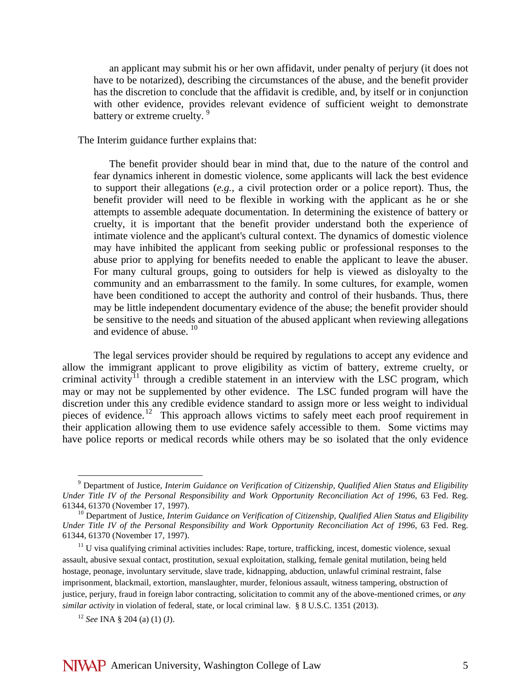an applicant may submit his or her own affidavit, under penalty of perjury (it does not have to be notarized), describing the circumstances of the abuse, and the benefit provider has the discretion to conclude that the affidavit is credible, and, by itself or in conjunction with other evidence, provides relevant evidence of sufficient weight to demonstrate battery or extreme cruelty.<sup>[9](#page-4-0)</sup>

The Interim guidance further explains that:

The benefit provider should bear in mind that, due to the nature of the control and fear dynamics inherent in domestic violence, some applicants will lack the best evidence to support their allegations (*e.g.*, a civil protection order or a police report). Thus, the benefit provider will need to be flexible in working with the applicant as he or she attempts to assemble adequate documentation. In determining the existence of battery or cruelty, it is important that the benefit provider understand both the experience of intimate violence and the applicant's cultural context. The dynamics of domestic violence may have inhibited the applicant from seeking public or professional responses to the abuse prior to applying for benefits needed to enable the applicant to leave the abuser. For many cultural groups, going to outsiders for help is viewed as disloyalty to the community and an embarrassment to the family. In some cultures, for example, women have been conditioned to accept the authority and control of their husbands. Thus, there may be little independent documentary evidence of the abuse; the benefit provider should be sensitive to the needs and situation of the abused applicant when reviewing allegations and evidence of abuse.  $10$ 

The legal services provider should be required by regulations to accept any evidence and allow the immigrant applicant to prove eligibility as victim of battery, extreme cruelty, or criminal activity<sup>[11](#page-4-2)</sup> through a credible statement in an interview with the LSC program, which may or may not be supplemented by other evidence. The LSC funded program will have the discretion under this any credible evidence standard to assign more or less weight to individual pieces of evidence.<sup>[12](#page-4-3)</sup> This approach allows victims to safely meet each proof requirement in their application allowing them to use evidence safely accessible to them. Some victims may have police reports or medical records while others may be so isolated that the only evidence

<span id="page-4-0"></span> <sup>9</sup> Department of Justice, *Interim Guidance on Verification of Citizenship, Qualified Alien Status and Eligibility Under Title IV of the Personal Responsibility and Work Opportunity Reconciliation Act of 1996, 63 Fed. Reg.* 61344, 61370 (November 17, 1997).

<span id="page-4-1"></span><sup>&</sup>lt;sup>10</sup> Department of Justice, *Interim Guidance on Verification of Citizenship, Qualified Alien Status and Eligibility Under Title IV of the Personal Responsibility and Work Opportunity Reconciliation Act of 1996*, 63 Fed. Reg. 61344, 61370 (November 17, 1997).

<span id="page-4-2"></span><sup>&</sup>lt;sup>11</sup> U visa qualifying criminal activities includes: Rape, torture, trafficking, incest, domestic violence, sexual assault, abusive sexual contact, prostitution, sexual exploitation, stalking, female genital mutilation, being held hostage, peonage, involuntary servitude, slave trade, kidnapping, abduction, unlawful criminal restraint, false imprisonment, blackmail, extortion, manslaughter, murder, felonious assault, witness tampering, obstruction of justice, perjury, fraud in foreign labor contracting, solicitation to commit any of the above-mentioned crimes, or *any similar activity* in violation of federal, state, or local criminal law. § 8 U.S.C. 1351 (2013).

<span id="page-4-3"></span><sup>12</sup> *See* INA § 204 (a) (1) (J).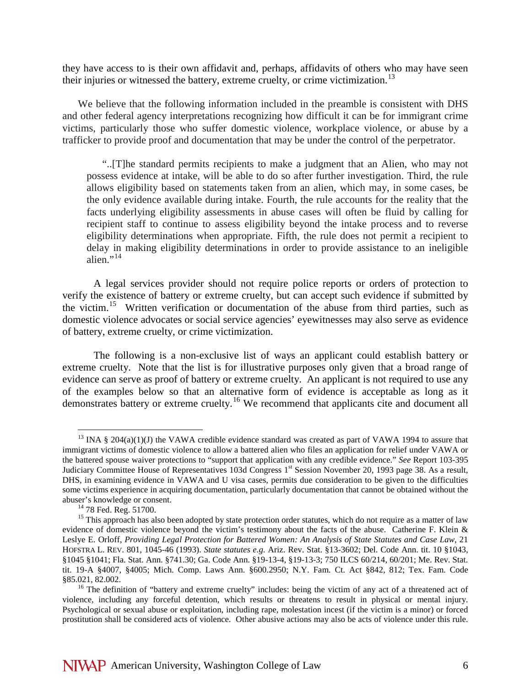they have access to is their own affidavit and, perhaps, affidavits of others who may have seen their injuries or witnessed the battery, extreme cruelty, or crime victimization.<sup>13</sup>

We believe that the following information included in the preamble is consistent with DHS and other federal agency interpretations recognizing how difficult it can be for immigrant crime victims, particularly those who suffer domestic violence, workplace violence, or abuse by a trafficker to provide proof and documentation that may be under the control of the perpetrator.

"..[T]he standard permits recipients to make a judgment that an Alien, who may not possess evidence at intake, will be able to do so after further investigation. Third, the rule allows eligibility based on statements taken from an alien, which may, in some cases, be the only evidence available during intake. Fourth, the rule accounts for the reality that the facts underlying eligibility assessments in abuse cases will often be fluid by calling for recipient staff to continue to assess eligibility beyond the intake process and to reverse eligibility determinations when appropriate. Fifth, the rule does not permit a recipient to delay in making eligibility determinations in order to provide assistance to an ineligible alien $\cdots^{14}$  $\cdots^{14}$  $\cdots^{14}$ 

A legal services provider should not require police reports or orders of protection to verify the existence of battery or extreme cruelty, but can accept such evidence if submitted by the victim.[15](#page-5-2) Written verification or documentation of the abuse from third parties, such as domestic violence advocates or social service agencies' eyewitnesses may also serve as evidence of battery, extreme cruelty, or crime victimization.

The following is a non-exclusive list of ways an applicant could establish battery or extreme cruelty. Note that the list is for illustrative purposes only given that a broad range of evidence can serve as proof of battery or extreme cruelty. An applicant is not required to use any of the examples below so that an alternative form of evidence is acceptable as long as it demonstrates battery or extreme cruelty.[16](#page-5-3) We recommend that applicants cite and document all

<span id="page-5-0"></span> $13$  INA § 204(a)(1)(J) the VAWA credible evidence standard was created as part of VAWA 1994 to assure that immigrant victims of domestic violence to allow a battered alien who files an application for relief under VAWA or the battered spouse waiver protections to "support that application with any credible evidence." *See* Report 103-395 Judiciary Committee House of Representatives 103d Congress 1<sup>st</sup> Session November 20, 1993 page 38. As a result, DHS, in examining evidence in VAWA and U visa cases, permits due consideration to be given to the difficulties some victims experience in acquiring documentation, particularly documentation that cannot be obtained without the abuser's knowledge or consent.<br><sup>14</sup> 78 Fed. Reg. 51700.<br><sup>15</sup> This approach has also been adopted by state protection order statutes, which do not require as a matter of law

<span id="page-5-2"></span><span id="page-5-1"></span>evidence of domestic violence beyond the victim's testimony about the facts of the abuse. Catherine F. Klein & Leslye E. Orloff, *Providing Legal Protection for Battered Women: An Analysis of State Statutes and Case Law*, 21 HOFSTRA L. REV. 801, 1045-46 (1993). *State statutes e.g.* Ariz. Rev. Stat. §13-3602; Del. Code Ann. tit. 10 §1043, §1045 §1041; Fla. Stat. Ann. §741.30; Ga. Code Ann. §19-13-4, §19-13-3; 750 ILCS 60/214, 60/201; Me. Rev. Stat. tit. 19-A §4007, §4005; Mich. Comp. Laws Ann. §600.2950; N.Y. Fam. Ct. Act §842, 812; Tex. Fam. Code §85.021, 82.002.<br><sup>16</sup> The definition of "battery and extreme cruelty" includes: being the victim of any act of a threatened act of

<span id="page-5-3"></span>violence, including any forceful detention, which results or threatens to result in physical or mental injury. Psychological or sexual abuse or exploitation, including rape, molestation incest (if the victim is a minor) or forced prostitution shall be considered acts of violence. Other abusive actions may also be acts of violence under this rule.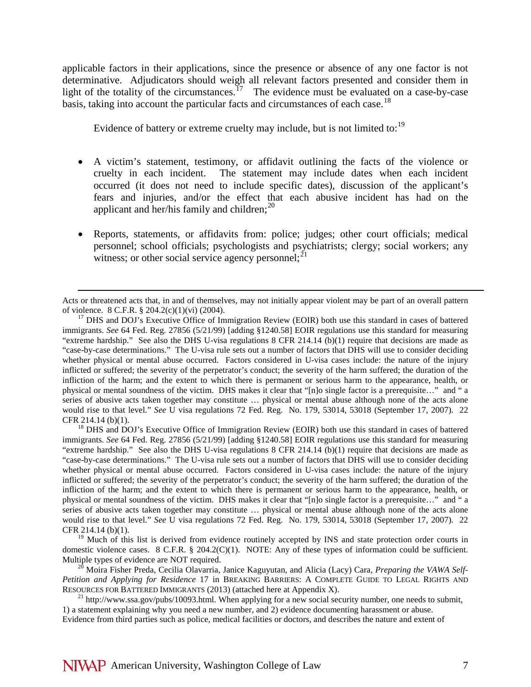applicable factors in their applications, since the presence or absence of any one factor is not determinative. Adjudicators should weigh all relevant factors presented and consider them in light of the totality of the circumstances.<sup>[17](#page-6-0)</sup> The evidence must be evaluated on a case-by-case basis, taking into account the particular facts and circumstances of each case.<sup>18</sup>

Evidence of battery or extreme cruelty may include, but is not limited to:<sup>[19](#page-6-2)</sup>

- A victim's statement, testimony, or affidavit outlining the facts of the violence or cruelty in each incident. The statement may include dates when each incident occurred (it does not need to include specific dates), discussion of the applicant's fears and injuries, and/or the effect that each abusive incident has had on the applicant and her/his family and children; $^{20}$  $^{20}$  $^{20}$
- Reports, statements, or affidavits from: police; judges; other court officials; medical personnel; school officials; psychologists and psychiatrists; clergy; social workers; any witness; or other social service agency personnel;  $2<sup>1</sup>$

<span id="page-6-1"></span>CFR 214.14 (b)(1). <sup>18</sup> DHS and DOJ's Executive Office of Immigration Review (EOIR) both use this standard in cases of battered immigrants. *See* 64 Fed. Reg. 27856 (5/21/99) [adding §1240.58] EOIR regulations use this standard for measuring "extreme hardship." See also the DHS U-visa regulations 8 CFR 214.14 (b)(1) require that decisions are made as "case-by-case determinations." The U-visa rule sets out a number of factors that DHS will use to consider deciding whether physical or mental abuse occurred. Factors considered in U-visa cases include: the nature of the injury inflicted or suffered; the severity of the perpetrator's conduct; the severity of the harm suffered; the duration of the infliction of the harm; and the extent to which there is permanent or serious harm to the appearance, health, or physical or mental soundness of the victim. DHS makes it clear that "[n]o single factor is a prerequisite…" and " a series of abusive acts taken together may constitute ... physical or mental abuse although none of the acts alone would rise to that level." *See* U visa regulations 72 Fed. Reg. No. 179, 53014, 53018 (September 17, 2007). 22 CFR 214.14 (b)(1).

<span id="page-6-2"></span><sup>19</sup> Much of this list is derived from evidence routinely accepted by INS and state protection order courts in domestic violence cases. 8 C.F.R. § 204.2(C)(1). NOTE: Any of these types of information could be sufficient.<br>Multiple types of evidence are NOT required.

<span id="page-6-3"></span><sup>20</sup> Moira Fisher Preda, Cecilia Olavarria, Janice Kaguyutan, and Alicia (Lacy) Cara, *Preparing the VAWA Self-Petition and Applying for Residence* 17 in BREAKING BARRIERS: A COMPLETE GUIDE TO LEGAL RIGHTS AND RESOURCES FOR BATTERED IMMIGRANTS (2013) (attached here at Appendix X).

<span id="page-6-4"></span><sup>21</sup> http://www.ssa.gov/pubs/10093.html. When applying for a new social security number, one needs to submit, 1) a statement explaining why you need a new number, and 2) evidence documenting harassment or abuse. Evidence from third parties such as police, medical facilities or doctors, and describes the nature and extent of

 $\overline{a}$ 

Acts or threatened acts that, in and of themselves, may not initially appear violent may be part of an overall pattern of violence.  $8 \text{ C.F.R.}$   $\frac{8}{204.2 \text{ (c)(1)(vi)} (2004)}$ .

<span id="page-6-0"></span> $17$  DHS and DOJ's Executive Office of Immigration Review (EOIR) both use this standard in cases of battered immigrants. *See* 64 Fed. Reg. 27856 (5/21/99) [adding §1240.58] EOIR regulations use this standard for measuring "extreme hardship." See also the DHS U-visa regulations 8 CFR 214.14 (b)(1) require that decisions are made as "case-by-case determinations." The U-visa rule sets out a number of factors that DHS will use to consider deciding whether physical or mental abuse occurred. Factors considered in U-visa cases include: the nature of the injury inflicted or suffered; the severity of the perpetrator's conduct; the severity of the harm suffered; the duration of the infliction of the harm; and the extent to which there is permanent or serious harm to the appearance, health, or physical or mental soundness of the victim. DHS makes it clear that "[n]o single factor is a prerequisite…" and " a series of abusive acts taken together may constitute ... physical or mental abuse although none of the acts alone would rise to that level." *See* U visa regulations 72 Fed. Reg. No. 179, 53014, 53018 (September 17, 2007). 22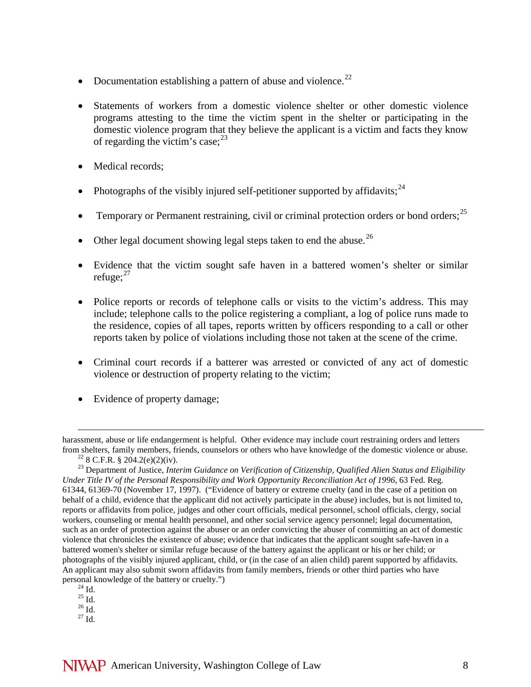- Documentation establishing a pattern of abuse and violence.<sup>[22](#page-7-0)</sup>
- Statements of workers from a domestic violence shelter or other domestic violence programs attesting to the time the victim spent in the shelter or participating in the domestic violence program that they believe the applicant is a victim and facts they know of regarding the victim's case;  $2^3$
- Medical records;
- Photographs of the visibly injured self-petitioner supported by affidavits;  $24$
- Temporary or Permanent restraining, civil or criminal protection orders or bond orders;<sup>[25](#page-7-3)</sup>
- Other legal document showing legal steps taken to end the abuse.<sup>[26](#page-7-4)</sup>
- Evidence that the victim sought safe haven in a battered women's shelter or similar refuge; $^{27}$  $^{27}$  $^{27}$
- Police reports or records of telephone calls or visits to the victim's address. This may include; telephone calls to the police registering a compliant, a log of police runs made to the residence, copies of all tapes, reports written by officers responding to a call or other reports taken by police of violations including those not taken at the scene of the crime.
- Criminal court records if a batterer was arrested or convicted of any act of domestic violence or destruction of property relating to the victim;
- Evidence of property damage;

 $\overline{a}$ 

- <span id="page-7-4"></span><span id="page-7-3"></span><span id="page-7-2"></span>
- <span id="page-7-5"></span>

harassment, abuse or life endangerment is helpful. Other evidence may include court restraining orders and letters from shelters, family members, friends, counselors or others who have knowledge of the domestic violence or abuse.<br><sup>22</sup> 8 C.F.R. § 204.2(e)(2)(iv).<br><sup>23</sup> Department of Justice, *Interim Guidance on Verification of Citizens* 

<span id="page-7-1"></span><span id="page-7-0"></span>*Under Title IV of the Personal Responsibility and Work Opportunity Reconciliation Act of 1996*, 63 Fed. Reg. 61344, 61369-70 (November 17, 1997). ("Evidence of battery or extreme cruelty (and in the case of a petition on behalf of a child, evidence that the applicant did not actively participate in the abuse) includes, but is not limited to, reports or affidavits from police, judges and other court officials, medical personnel, school officials, clergy, social workers, counseling or mental health personnel, and other social service agency personnel; legal documentation, such as an order of protection against the abuser or an order convicting the abuser of committing an act of domestic violence that chronicles the existence of abuse; evidence that indicates that the applicant sought safe-haven in a battered women's shelter or similar refuge because of the battery against the applicant or his or her child; or photographs of the visibly injured applicant, child, or (in the case of an alien child) parent supported by affidavits. An applicant may also submit sworn affidavits from family members, friends or other third parties who have personal knowledge of the battery or cruelty.")<br>
<sup>24</sup> Id. <sup>25</sup> Id. <sup>25</sup> Id. <sup>27</sup> Id.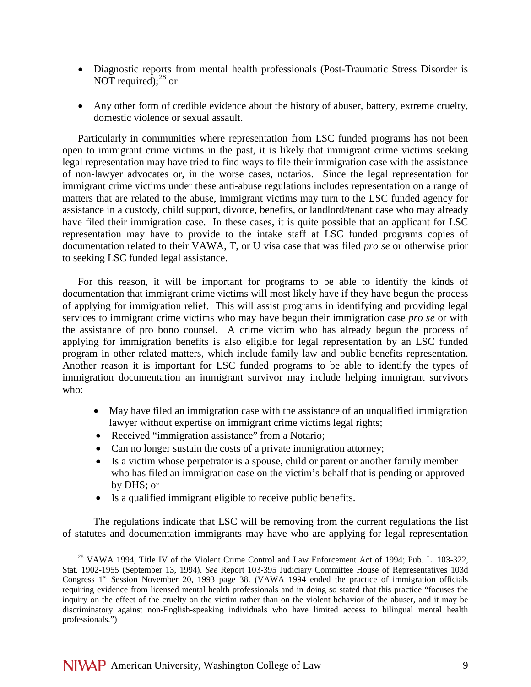- Diagnostic reports from mental health professionals (Post-Traumatic Stress Disorder is NOT required); $^{28}$  $^{28}$  $^{28}$  or
- Any other form of credible evidence about the history of abuser, battery, extreme cruelty, domestic violence or sexual assault.

Particularly in communities where representation from LSC funded programs has not been open to immigrant crime victims in the past, it is likely that immigrant crime victims seeking legal representation may have tried to find ways to file their immigration case with the assistance of non-lawyer advocates or, in the worse cases, notarios. Since the legal representation for immigrant crime victims under these anti-abuse regulations includes representation on a range of matters that are related to the abuse, immigrant victims may turn to the LSC funded agency for assistance in a custody, child support, divorce, benefits, or landlord/tenant case who may already have filed their immigration case. In these cases, it is quite possible that an applicant for LSC representation may have to provide to the intake staff at LSC funded programs copies of documentation related to their VAWA, T, or U visa case that was filed *pro se* or otherwise prior to seeking LSC funded legal assistance.

For this reason, it will be important for programs to be able to identify the kinds of documentation that immigrant crime victims will most likely have if they have begun the process of applying for immigration relief. This will assist programs in identifying and providing legal services to immigrant crime victims who may have begun their immigration case *pro se* or with the assistance of pro bono counsel. A crime victim who has already begun the process of applying for immigration benefits is also eligible for legal representation by an LSC funded program in other related matters, which include family law and public benefits representation. Another reason it is important for LSC funded programs to be able to identify the types of immigration documentation an immigrant survivor may include helping immigrant survivors who:

- May have filed an immigration case with the assistance of an unqualified immigration lawyer without expertise on immigrant crime victims legal rights;
- Received "immigration assistance" from a Notario;
- Can no longer sustain the costs of a private immigration attorney;
- Is a victim whose perpetrator is a spouse, child or parent or another family member who has filed an immigration case on the victim's behalf that is pending or approved by DHS; or
- Is a qualified immigrant eligible to receive public benefits.

The regulations indicate that LSC will be removing from the current regulations the list of statutes and documentation immigrants may have who are applying for legal representation

<span id="page-8-0"></span><sup>&</sup>lt;sup>28</sup> VAWA 1994, Title IV of the Violent Crime Control and Law Enforcement Act of 1994; Pub. L. 103-322, Stat. 1902-1955 (September 13, 1994). *See* Report 103-395 Judiciary Committee House of Representatives 103d Congress  $1<sup>st</sup>$  Session November 20, 1993 page 38. (VAWA 1994 ended the practice of immigration officials requiring evidence from licensed mental health professionals and in doing so stated that this practice "focuses the inquiry on the effect of the cruelty on the victim rather than on the violent behavior of the abuser, and it may be discriminatory against non-English-speaking individuals who have limited access to bilingual mental health professionals.")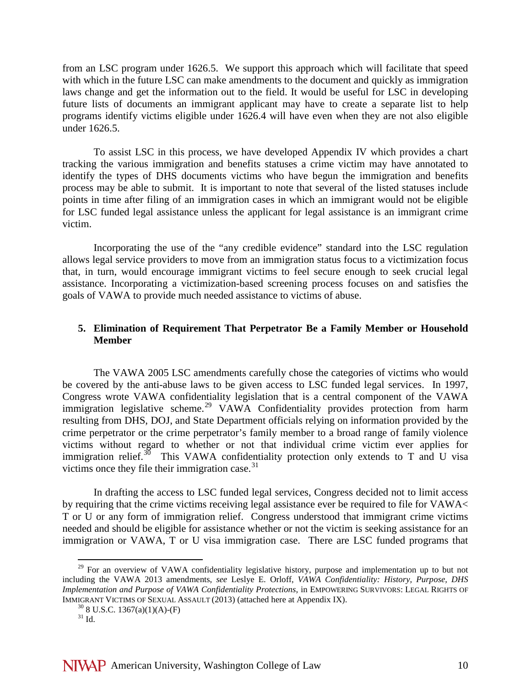from an LSC program under 1626.5. We support this approach which will facilitate that speed with which in the future LSC can make amendments to the document and quickly as immigration laws change and get the information out to the field. It would be useful for LSC in developing future lists of documents an immigrant applicant may have to create a separate list to help programs identify victims eligible under 1626.4 will have even when they are not also eligible under 1626.5.

To assist LSC in this process, we have developed Appendix IV which provides a chart tracking the various immigration and benefits statuses a crime victim may have annotated to identify the types of DHS documents victims who have begun the immigration and benefits process may be able to submit. It is important to note that several of the listed statuses include points in time after filing of an immigration cases in which an immigrant would not be eligible for LSC funded legal assistance unless the applicant for legal assistance is an immigrant crime victim.

Incorporating the use of the "any credible evidence" standard into the LSC regulation allows legal service providers to move from an immigration status focus to a victimization focus that, in turn, would encourage immigrant victims to feel secure enough to seek crucial legal assistance. Incorporating a victimization-based screening process focuses on and satisfies the goals of VAWA to provide much needed assistance to victims of abuse.

# **5. Elimination of Requirement That Perpetrator Be a Family Member or Household Member**

The VAWA 2005 LSC amendments carefully chose the categories of victims who would be covered by the anti-abuse laws to be given access to LSC funded legal services. In 1997, Congress wrote VAWA confidentiality legislation that is a central component of the VAWA immigration legislative scheme.<sup>[29](#page-9-0)</sup> VAWA Confidentiality provides protection from harm resulting from DHS, DOJ, and State Department officials relying on information provided by the crime perpetrator or the crime perpetrator's family member to a broad range of family violence victims without regard to whether or not that individual crime victim ever applies for immigration relief.<sup>[30](#page-9-1)</sup> This VAWA confidentiality protection only extends to T and U visa victims once they file their immigration case. $31$ 

In drafting the access to LSC funded legal services, Congress decided not to limit access by requiring that the crime victims receiving legal assistance ever be required to file for VAWA< T or U or any form of immigration relief. Congress understood that immigrant crime victims needed and should be eligible for assistance whether or not the victim is seeking assistance for an immigration or VAWA, T or U visa immigration case. There are LSC funded programs that

<span id="page-9-1"></span><span id="page-9-0"></span> $29$  For an overview of VAWA confidentiality legislative history, purpose and implementation up to but not including the VAWA 2013 amendments, *see* Leslye E. Orloff, *VAWA Confidentiality: History, Purpose, DHS Implementation and Purpose of VAWA Confidentiality Protections*, in EMPOWERING SURVIVORS: LEGAL RIGHTS OF IMMIGRANT VICTIMS OF SEXUAL ASSAULT (2013) (attached here at Appendix IX).  $^{30}$  8 U.S.C. 1367(a)(1)(A)-(F)  $^{31}$  Id.

<span id="page-9-2"></span>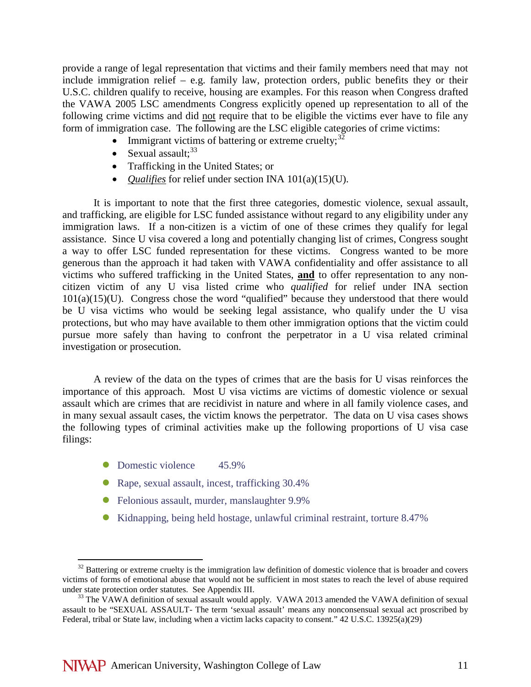provide a range of legal representation that victims and their family members need that may not include immigration relief – e.g. family law, protection orders, public benefits they or their U.S.C. children qualify to receive, housing are examples. For this reason when Congress drafted the VAWA 2005 LSC amendments Congress explicitly opened up representation to all of the following crime victims and did not require that to be eligible the victims ever have to file any form of immigration case. The following are the LSC eligible categories of crime victims:

- Immigrant victims of battering or extreme cruelty;  $32$
- Sexual assault; $33$
- Trafficking in the United States; or
- *Qualifies* for relief under section INA 101(a)(15)(U).

It is important to note that the first three categories, domestic violence, sexual assault, and trafficking, are eligible for LSC funded assistance without regard to any eligibility under any immigration laws. If a non-citizen is a victim of one of these crimes they qualify for legal assistance. Since U visa covered a long and potentially changing list of crimes, Congress sought a way to offer LSC funded representation for these victims. Congress wanted to be more generous than the approach it had taken with VAWA confidentiality and offer assistance to all victims who suffered trafficking in the United States, **and** to offer representation to any noncitizen victim of any U visa listed crime who *qualified* for relief under INA section  $101(a)(15)(U)$ . Congress chose the word "qualified" because they understood that there would be U visa victims who would be seeking legal assistance, who qualify under the U visa protections, but who may have available to them other immigration options that the victim could pursue more safely than having to confront the perpetrator in a U visa related criminal investigation or prosecution.

A review of the data on the types of crimes that are the basis for U visas reinforces the importance of this approach. Most U visa victims are victims of domestic violence or sexual assault which are crimes that are recidivist in nature and where in all family violence cases, and in many sexual assault cases, the victim knows the perpetrator. The data on U visa cases shows the following types of criminal activities make up the following proportions of U visa case filings:

- Domestic violence 45.9%
- Rape, sexual assault, incest, trafficking 30.4%
- Felonious assault, murder, manslaughter 9.9%
- Kidnapping, being held hostage, unlawful criminal restraint, torture 8.47%

<span id="page-10-0"></span> $32$  Battering or extreme cruelty is the immigration law definition of domestic violence that is broader and covers victims of forms of emotional abuse that would not be sufficient in most states to reach the level of abuse required

<span id="page-10-1"></span> $33$  The VAWA definition of sexual assault would apply. VAWA 2013 amended the VAWA definition of sexual assault to be "SEXUAL ASSAULT- The term 'sexual assault' means any nonconsensual sexual act proscribed by Federal, tribal or State law, including when a victim lacks capacity to consent." 42 U.S.C. 13925(a)(29)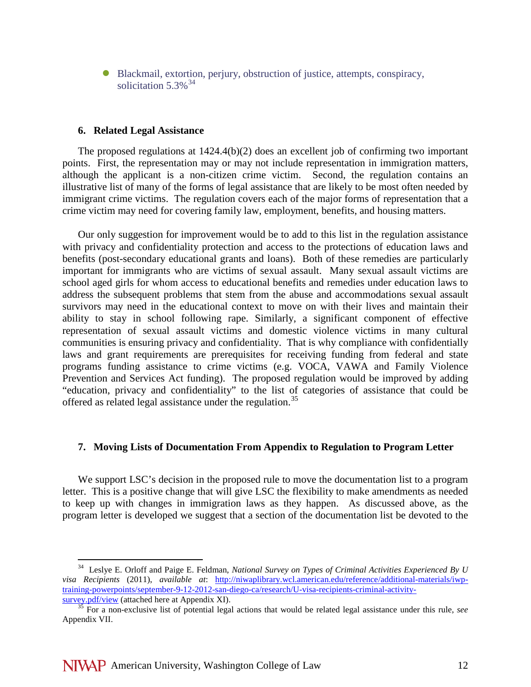Blackmail, extortion, perjury, obstruction of justice, attempts, conspiracy, solicitation  $5.3\%$ <sup>[34](#page-11-0)</sup>

#### **6. Related Legal Assistance**

The proposed regulations at  $1424.4(b)(2)$  does an excellent job of confirming two important points. First, the representation may or may not include representation in immigration matters, although the applicant is a non-citizen crime victim. Second, the regulation contains an illustrative list of many of the forms of legal assistance that are likely to be most often needed by immigrant crime victims. The regulation covers each of the major forms of representation that a crime victim may need for covering family law, employment, benefits, and housing matters.

Our only suggestion for improvement would be to add to this list in the regulation assistance with privacy and confidentiality protection and access to the protections of education laws and benefits (post-secondary educational grants and loans). Both of these remedies are particularly important for immigrants who are victims of sexual assault. Many sexual assault victims are school aged girls for whom access to educational benefits and remedies under education laws to address the subsequent problems that stem from the abuse and accommodations sexual assault survivors may need in the educational context to move on with their lives and maintain their ability to stay in school following rape. Similarly, a significant component of effective representation of sexual assault victims and domestic violence victims in many cultural communities is ensuring privacy and confidentiality. That is why compliance with confidentially laws and grant requirements are prerequisites for receiving funding from federal and state programs funding assistance to crime victims (e.g. VOCA, VAWA and Family Violence Prevention and Services Act funding). The proposed regulation would be improved by adding "education, privacy and confidentiality" to the list of categories of assistance that could be offered as related legal assistance under the regulation.<sup>[35](#page-11-1)</sup>

#### **7. Moving Lists of Documentation From Appendix to Regulation to Program Letter**

We support LSC's decision in the proposed rule to move the documentation list to a program letter. This is a positive change that will give LSC the flexibility to make amendments as needed to keep up with changes in immigration laws as they happen. As discussed above, as the program letter is developed we suggest that a section of the documentation list be devoted to the

<span id="page-11-0"></span> <sup>34</sup> Leslye E. Orloff and Paige E. Feldman, *National Survey on Types of Criminal Activities Experienced By U visa Recipients* (2011), *available at*: [http://niwaplibrary.wcl.american.edu/reference/additional-materials/iwp](http://niwaplibrary.wcl.american.edu/reference/additional-materials/iwp-training-powerpoints/september-9-12-2012-san-diego-ca/research/U-visa-recipients-criminal-activity-survey.pdf/view)[training-powerpoints/september-9-12-2012-san-diego-ca/research/U-visa-recipients-criminal-activity](http://niwaplibrary.wcl.american.edu/reference/additional-materials/iwp-training-powerpoints/september-9-12-2012-san-diego-ca/research/U-visa-recipients-criminal-activity-survey.pdf/view)[survey.pdf/view](http://niwaplibrary.wcl.american.edu/reference/additional-materials/iwp-training-powerpoints/september-9-12-2012-san-diego-ca/research/U-visa-recipients-criminal-activity-survey.pdf/view) (attached here at Appendix XI). <sup>35</sup> For a non-exclusive list of potential legal actions that would be related legal assistance under this rule, *see*

<span id="page-11-1"></span>Appendix VII.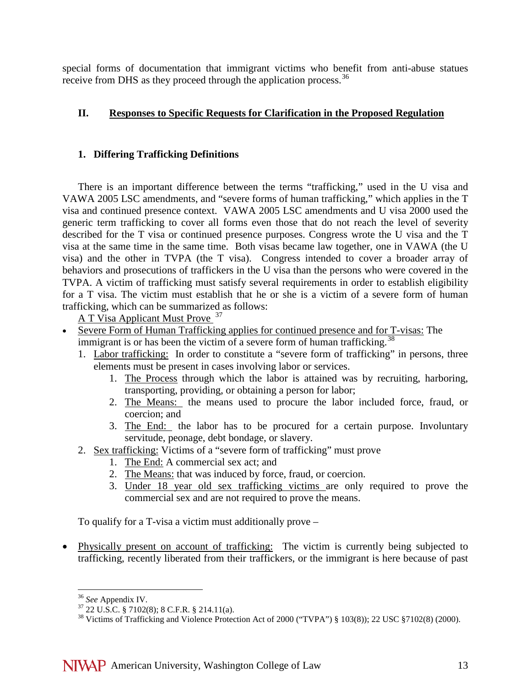special forms of documentation that immigrant victims who benefit from anti-abuse statues receive from DHS as they proceed through the application process.<sup>36</sup>

# **II. Responses to Specific Requests for Clarification in the Proposed Regulation**

# **1. Differing Trafficking Definitions**

There is an important difference between the terms "trafficking," used in the U visa and VAWA 2005 LSC amendments, and "severe forms of human trafficking," which applies in the T visa and continued presence context. VAWA 2005 LSC amendments and U visa 2000 used the generic term trafficking to cover all forms even those that do not reach the level of severity described for the T visa or continued presence purposes. Congress wrote the U visa and the T visa at the same time in the same time. Both visas became law together, one in VAWA (the U visa) and the other in TVPA (the T visa). Congress intended to cover a broader array of behaviors and prosecutions of traffickers in the U visa than the persons who were covered in the TVPA. A victim of trafficking must satisfy several requirements in order to establish eligibility for a T visa. The victim must establish that he or she is a victim of a severe form of human trafficking, which can be summarized as follows:

A T Visa Applicant Must Prove <sup>[37](#page-12-1)</sup>

- Severe Form of Human Trafficking applies for continued presence and for T-visas: The immigrant is or has been the victim of a severe form of human trafficking.<sup>[38](#page-12-2)</sup>
	- 1. Labor trafficking: In order to constitute a "severe form of trafficking" in persons, three elements must be present in cases involving labor or services.
		- 1. The Process through which the labor is attained was by recruiting, harboring, transporting, providing, or obtaining a person for labor;
		- 2. The Means: the means used to procure the labor included force, fraud, or coercion; and
		- 3. The End: the labor has to be procured for a certain purpose. Involuntary servitude, peonage, debt bondage, or slavery.
	- 2. Sex trafficking: Victims of a "severe form of trafficking" must prove
		- 1. The End: A commercial sex act; and
		- 2. The Means: that was induced by force, fraud, or coercion.
		- 3. Under 18 year old sex trafficking victims are only required to prove the commercial sex and are not required to prove the means.

To qualify for a T-visa a victim must additionally prove –

• Physically present on account of trafficking: The victim is currently being subjected to trafficking, recently liberated from their traffickers, or the immigrant is here because of past

<span id="page-12-2"></span><span id="page-12-1"></span>

<span id="page-12-0"></span><sup>&</sup>lt;sup>36</sup> *See* Appendix IV.<br><sup>37</sup> 22 U.S.C. § 7102(8); 8 C.F.R. § 214.11(a).<br><sup>38</sup> Victims of Trafficking and Violence Protection Act of 2000 ("TVPA") § 103(8)); 22 USC §7102(8) (2000).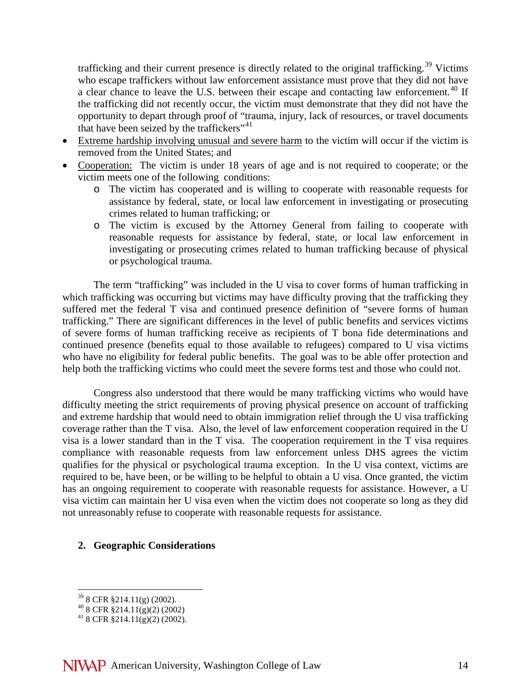trafficking and their current presence is directly related to the original trafficking.<sup>[39](#page-13-0)</sup> Victims who escape traffickers without law enforcement assistance must prove that they did not have a clear chance to leave the U.S. between their escape and contacting law enforcement.<sup>[40](#page-13-1)</sup> If the trafficking did not recently occur, the victim must demonstrate that they did not have the opportunity to depart through proof of "trauma, injury, lack of resources, or travel documents that have been seized by the traffickers"<sup>[41](#page-13-2)</sup>

- Extreme hardship involving unusual and severe harm to the victim will occur if the victim is removed from the United States; and
- Cooperation: The victim is under 18 years of age and is not required to cooperate; or the victim meets one of the following conditions:
	- o The victim has cooperated and is willing to cooperate with reasonable requests for assistance by federal, state, or local law enforcement in investigating or prosecuting crimes related to human trafficking; or
	- o The victim is excused by the Attorney General from failing to cooperate with reasonable requests for assistance by federal, state, or local law enforcement in investigating or prosecuting crimes related to human trafficking because of physical or psychological trauma.

The term "trafficking" was included in the U visa to cover forms of human trafficking in which trafficking was occurring but victims may have difficulty proving that the trafficking they suffered met the federal T visa and continued presence definition of "severe forms of human trafficking." There are significant differences in the level of public benefits and services victims of severe forms of human trafficking receive as recipients of T bona fide determinations and continued presence (benefits equal to those available to refugees) compared to U visa victims who have no eligibility for federal public benefits. The goal was to be able offer protection and help both the trafficking victims who could meet the severe forms test and those who could not.

Congress also understood that there would be many trafficking victims who would have difficulty meeting the strict requirements of proving physical presence on account of trafficking and extreme hardship that would need to obtain immigration relief through the U visa trafficking coverage rather than the T visa. Also, the level of law enforcement cooperation required in the U visa is a lower standard than in the T visa. The cooperation requirement in the T visa requires compliance with reasonable requests from law enforcement unless DHS agrees the victim qualifies for the physical or psychological trauma exception. In the U visa context, victims are required to be, have been, or be willing to be helpful to obtain a U visa. Once granted, the victim has an ongoing requirement to cooperate with reasonable requests for assistance. However, a U visa victim can maintain her U visa even when the victim does not cooperate so long as they did not unreasonably refuse to cooperate with reasonable requests for assistance.

### **2. Geographic Considerations**

<span id="page-13-2"></span>

<span id="page-13-1"></span><span id="page-13-0"></span><sup>&</sup>lt;sup>39</sup> 8 CFR §214.11(g) (2002).<br><sup>40</sup> 8 CFR §214.11(g)(2) (2002).<br><sup>41</sup> 8 CFR §214.11(g)(2) (2002).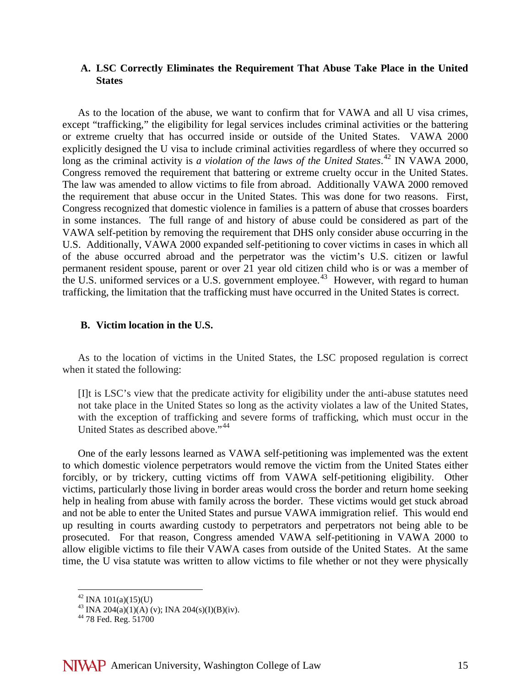### **A. LSC Correctly Eliminates the Requirement That Abuse Take Place in the United States**

As to the location of the abuse, we want to confirm that for VAWA and all U visa crimes, except "trafficking," the eligibility for legal services includes criminal activities or the battering or extreme cruelty that has occurred inside or outside of the United States. VAWA 2000 explicitly designed the U visa to include criminal activities regardless of where they occurred so long as the criminal activity is *a violation of the laws of the United States*. [42](#page-14-0) IN VAWA 2000, Congress removed the requirement that battering or extreme cruelty occur in the United States. The law was amended to allow victims to file from abroad. Additionally VAWA 2000 removed the requirement that abuse occur in the United States. This was done for two reasons. First, Congress recognized that domestic violence in families is a pattern of abuse that crosses boarders in some instances. The full range of and history of abuse could be considered as part of the VAWA self-petition by removing the requirement that DHS only consider abuse occurring in the U.S. Additionally, VAWA 2000 expanded self-petitioning to cover victims in cases in which all of the abuse occurred abroad and the perpetrator was the victim's U.S. citizen or lawful permanent resident spouse, parent or over 21 year old citizen child who is or was a member of the U.S. uniformed services or a U.S. government employee.<sup>43</sup> However, with regard to human trafficking, the limitation that the trafficking must have occurred in the United States is correct.

#### **B. Victim location in the U.S.**

As to the location of victims in the United States, the LSC proposed regulation is correct when it stated the following:

[I]t is LSC's view that the predicate activity for eligibility under the anti-abuse statutes need not take place in the United States so long as the activity violates a law of the United States, with the exception of trafficking and severe forms of trafficking, which must occur in the United States as described above."<sup>[44](#page-14-2)</sup>

One of the early lessons learned as VAWA self-petitioning was implemented was the extent to which domestic violence perpetrators would remove the victim from the United States either forcibly, or by trickery, cutting victims off from VAWA self-petitioning eligibility. Other victims, particularly those living in border areas would cross the border and return home seeking help in healing from abuse with family across the border. These victims would get stuck abroad and not be able to enter the United States and pursue VAWA immigration relief. This would end up resulting in courts awarding custody to perpetrators and perpetrators not being able to be prosecuted. For that reason, Congress amended VAWA self-petitioning in VAWA 2000 to allow eligible victims to file their VAWA cases from outside of the United States. At the same time, the U visa statute was written to allow victims to file whether or not they were physically

<span id="page-14-1"></span><span id="page-14-0"></span><sup>&</sup>lt;sup>42</sup> INA 101(a)(15)(U)<br><sup>43</sup> INA 204(a)(1)(A) (v); INA 204(s)(I)(B)(iv).<br><sup>44</sup> 78 Fed. Reg. 51700

<span id="page-14-2"></span>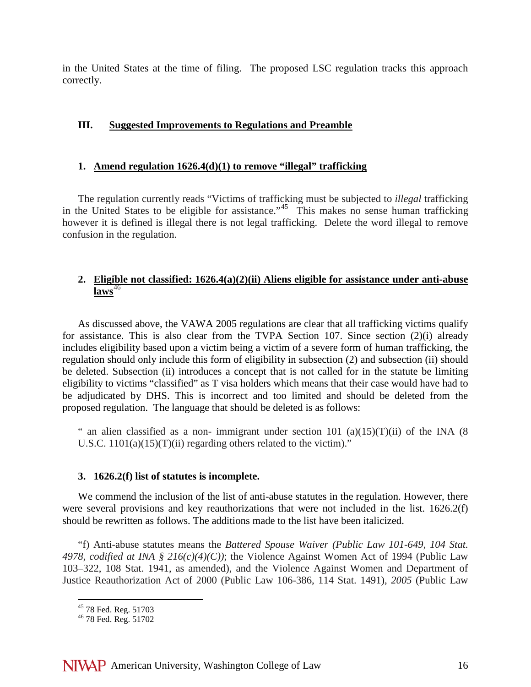in the United States at the time of filing. The proposed LSC regulation tracks this approach correctly.

# **III. Suggested Improvements to Regulations and Preamble**

### **1. Amend regulation 1626.4(d)(1) to remove "illegal" trafficking**

The regulation currently reads "Victims of trafficking must be subjected to *illegal* trafficking in the United States to be eligible for assistance."<sup>[45](#page-15-0)</sup> This makes no sense human trafficking however it is defined is illegal there is not legal trafficking. Delete the word illegal to remove confusion in the regulation.

# **2. Eligible not classified: 1626.4(a)(2)(ii) Aliens eligible for assistance under anti-abuse**   $laws<sup>46</sup>$  $laws<sup>46</sup>$  $laws<sup>46</sup>$

As discussed above, the VAWA 2005 regulations are clear that all trafficking victims qualify for assistance. This is also clear from the TVPA Section 107. Since section (2)(i) already includes eligibility based upon a victim being a victim of a severe form of human trafficking, the regulation should only include this form of eligibility in subsection (2) and subsection (ii) should be deleted. Subsection (ii) introduces a concept that is not called for in the statute be limiting eligibility to victims "classified" as T visa holders which means that their case would have had to be adjudicated by DHS. This is incorrect and too limited and should be deleted from the proposed regulation. The language that should be deleted is as follows:

" an alien classified as a non- immigrant under section 101 (a)(15)(T)(ii) of the INA (8) U.S.C.  $1101(a)(15)(T)(ii)$  regarding others related to the victim)."

### **3. 1626.2(f) list of statutes is incomplete.**

We commend the inclusion of the list of anti-abuse statutes in the regulation. However, there were several provisions and key reauthorizations that were not included in the list. 1626.2(f) should be rewritten as follows. The additions made to the list have been italicized.

"f) Anti-abuse statutes means the *Battered Spouse Waiver (Public Law 101-649, 104 Stat. 4978, codified at INA § 216(c)(4)(C))*; the Violence Against Women Act of 1994 (Public Law 103–322, 108 Stat. 1941, as amended), and the Violence Against Women and Department of Justice Reauthorization Act of 2000 (Public Law 106-386, 114 Stat. 1491), *2005* (Public Law

<span id="page-15-0"></span><sup>&</sup>lt;sup>45</sup> 78 Fed. Reg. 51703<br><sup>46</sup> 78 Fed. Reg. 51702

<span id="page-15-1"></span>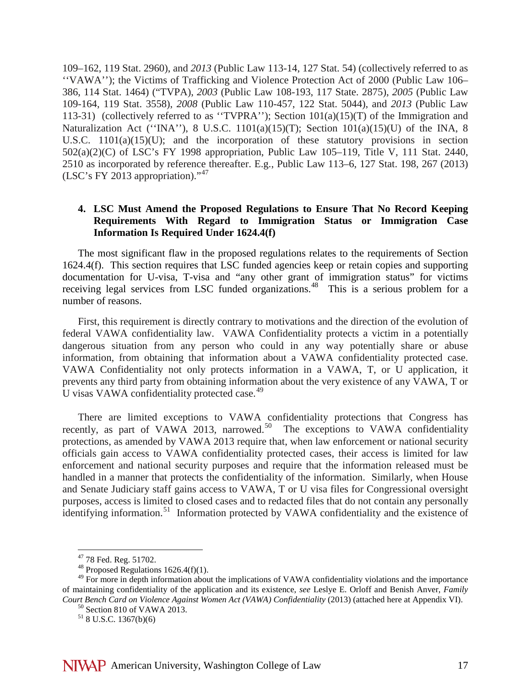109–162, 119 Stat. 2960), and *2013* (Public Law 113-14, 127 Stat. 54) (collectively referred to as ''VAWA''); the Victims of Trafficking and Violence Protection Act of 2000 (Public Law 106– 386, 114 Stat. 1464) ("TVPA), *2003* (Public Law 108-193, 117 State. 2875), *2005* (Public Law 109-164, 119 Stat. 3558), *2008* (Public Law 110-457, 122 Stat. 5044), and *2013* (Public Law 113-31) (collectively referred to as ''TVPRA''); Section 101(a)(15)(T) of the Immigration and Naturalization Act (''INA''), 8 U.S.C. 1101(a)(15)(T); Section 101(a)(15)(U) of the INA, 8 U.S.C. 1101(a)(15)(U); and the incorporation of these statutory provisions in section 502(a)(2)(C) of LSC's FY 1998 appropriation, Public Law 105–119, Title V, 111 Stat. 2440, 2510 as incorporated by reference thereafter. E.g., Public Law 113–6, 127 Stat. 198, 267 (2013) (LSC's FY 2013 appropriation)."[47](#page-16-0)

### **4. LSC Must Amend the Proposed Regulations to Ensure That No Record Keeping Requirements With Regard to Immigration Status or Immigration Case Information Is Required Under 1624.4(f)**

The most significant flaw in the proposed regulations relates to the requirements of Section 1624.4(f). This section requires that LSC funded agencies keep or retain copies and supporting documentation for U-visa, T-visa and "any other grant of immigration status" for victims receiving legal services from LSC funded organizations.<sup>[48](#page-16-1)</sup> This is a serious problem for a number of reasons.

First, this requirement is directly contrary to motivations and the direction of the evolution of federal VAWA confidentiality law. VAWA Confidentiality protects a victim in a potentially dangerous situation from any person who could in any way potentially share or abuse information, from obtaining that information about a VAWA confidentiality protected case. VAWA Confidentiality not only protects information in a VAWA, T, or U application, it prevents any third party from obtaining information about the very existence of any VAWA, T or U visas VAWA confidentiality protected case.<sup>[49](#page-16-2)</sup>

There are limited exceptions to VAWA confidentiality protections that Congress has recently, as part of VAWA 2013, narrowed.<sup>50</sup> The exceptions to VAWA confidentiality protections, as amended by VAWA 2013 require that, when law enforcement or national security officials gain access to VAWA confidentiality protected cases, their access is limited for law enforcement and national security purposes and require that the information released must be handled in a manner that protects the confidentiality of the information. Similarly, when House and Senate Judiciary staff gains access to VAWA, T or U visa files for Congressional oversight purposes, access is limited to closed cases and to redacted files that do not contain any personally identifying information.<sup>51</sup> Information protected by VAWA confidentiality and the existence of

<span id="page-16-2"></span><span id="page-16-1"></span><span id="page-16-0"></span><sup>&</sup>lt;sup>47</sup> 78 Fed. Reg. 51702.<br><sup>48</sup> Proposed Regulations 1626.4(f)(1).<br><sup>49</sup> For more in depth information about the implications of VAWA confidentiality violations and the importance of maintaining confidentiality of the application and its existence, *see* Leslye E. Orloff and Benish Anver, *Family Court Bench Card on Violence Against Women Act (VAWA) Confidentiality (2013) (attached here at Appendix VI).* <sup>50</sup> Section 810 of VAWA 2013. 51 8 U.S.C. 1367(b)(6)

<span id="page-16-4"></span><span id="page-16-3"></span>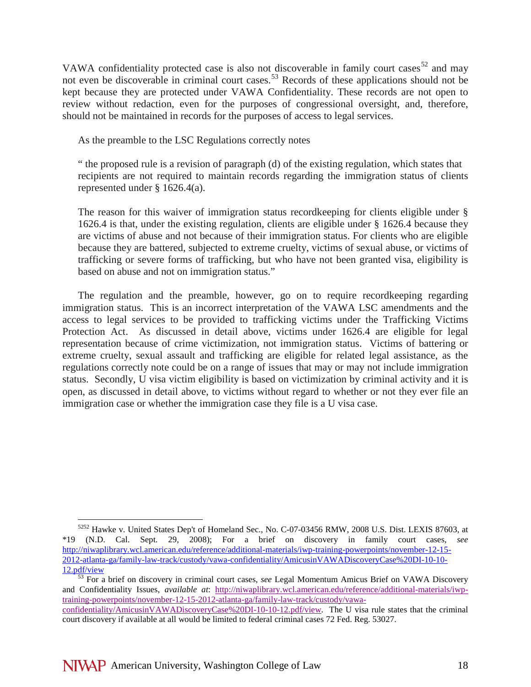VAWA confidentiality protected case is also not discoverable in family court cases<sup>[52](#page-17-0)</sup> and may not even be discoverable in criminal court cases.<sup>[53](#page-17-1)</sup> Records of these applications should not be kept because they are protected under VAWA Confidentiality. These records are not open to review without redaction, even for the purposes of congressional oversight, and, therefore, should not be maintained in records for the purposes of access to legal services.

As the preamble to the LSC Regulations correctly notes

" the proposed rule is a revision of paragraph (d) of the existing regulation, which states that recipients are not required to maintain records regarding the immigration status of clients represented under § 1626.4(a).

The reason for this waiver of immigration status recordkeeping for clients eligible under § 1626.4 is that, under the existing regulation, clients are eligible under § 1626.4 because they are victims of abuse and not because of their immigration status. For clients who are eligible because they are battered, subjected to extreme cruelty, victims of sexual abuse, or victims of trafficking or severe forms of trafficking, but who have not been granted visa, eligibility is based on abuse and not on immigration status."

The regulation and the preamble, however, go on to require recordkeeping regarding immigration status. This is an incorrect interpretation of the VAWA LSC amendments and the access to legal services to be provided to trafficking victims under the Trafficking Victims Protection Act. As discussed in detail above, victims under 1626.4 are eligible for legal representation because of crime victimization, not immigration status. Victims of battering or extreme cruelty, sexual assault and trafficking are eligible for related legal assistance, as the regulations correctly note could be on a range of issues that may or may not include immigration status. Secondly, U visa victim eligibility is based on victimization by criminal activity and it is open, as discussed in detail above, to victims without regard to whether or not they ever file an immigration case or whether the immigration case they file is a U visa case.

<span id="page-17-0"></span> <sup>5252</sup> Hawke v. United States Dep't of Homeland Sec., No. C-07-03456 RMW, 2008 U.S. Dist. LEXIS 87603, at \*19 (N.D. Cal. Sept. 29, 2008); For a brief on discovery in family court cases, *see* [http://niwaplibrary.wcl.american.edu/reference/additional-materials/iwp-training-powerpoints/november-12-15-](http://niwaplibrary.wcl.american.edu/reference/additional-materials/iwp-training-powerpoints/november-12-15-2012-atlanta-ga/family-law-track/custody/vawa-confidentiality/AmicusinVAWADiscoveryCase%20DI-10-10-12.pdf/view) [2012-atlanta-ga/family-law-track/custody/vawa-confidentiality/AmicusinVAWADiscoveryCase%20DI-10-10-](http://niwaplibrary.wcl.american.edu/reference/additional-materials/iwp-training-powerpoints/november-12-15-2012-atlanta-ga/family-law-track/custody/vawa-confidentiality/AmicusinVAWADiscoveryCase%20DI-10-10-12.pdf/view)

<span id="page-17-1"></span> $\frac{53}{2}$  For a brief on discovery in criminal court cases, *see* Legal Momentum Amicus Brief on VAWA Discovery and Confidentiality Issues, *available at*: [http://niwaplibrary.wcl.american.edu/reference/additional-materials/iwp](http://niwaplibrary.wcl.american.edu/reference/additional-materials/iwp-training-powerpoints/november-12-15-2012-atlanta-ga/family-law-track/custody/vawa-confidentiality/AmicusinVAWADiscoveryCase%20DI-10-10-12.pdf/view)[training-powerpoints/november-12-15-2012-atlanta-ga/family-law-track/custody/vawa](http://niwaplibrary.wcl.american.edu/reference/additional-materials/iwp-training-powerpoints/november-12-15-2012-atlanta-ga/family-law-track/custody/vawa-confidentiality/AmicusinVAWADiscoveryCase%20DI-10-10-12.pdf/view)[confidentiality/AmicusinVAWADiscoveryCase%20DI-10-10-12.pdf/view.](http://niwaplibrary.wcl.american.edu/reference/additional-materials/iwp-training-powerpoints/november-12-15-2012-atlanta-ga/family-law-track/custody/vawa-confidentiality/AmicusinVAWADiscoveryCase%20DI-10-10-12.pdf/view) The U visa rule states that the criminal court discovery if available at all would be limited to federal criminal cases 72 Fed. Reg. 53027.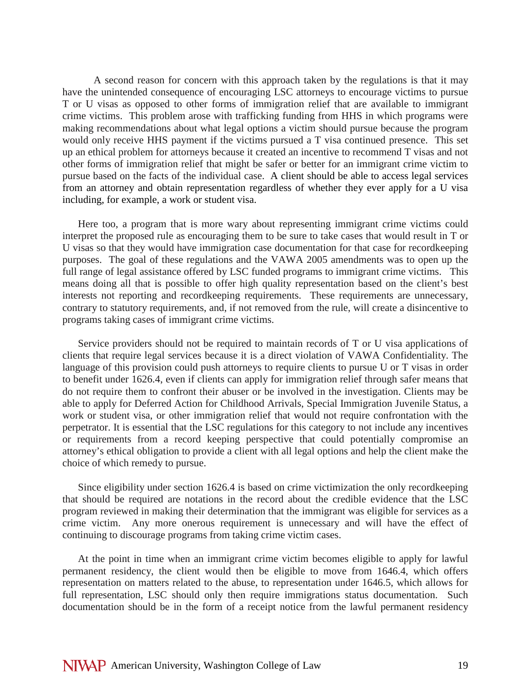A second reason for concern with this approach taken by the regulations is that it may have the unintended consequence of encouraging LSC attorneys to encourage victims to pursue T or U visas as opposed to other forms of immigration relief that are available to immigrant crime victims. This problem arose with trafficking funding from HHS in which programs were making recommendations about what legal options a victim should pursue because the program would only receive HHS payment if the victims pursued a T visa continued presence. This set up an ethical problem for attorneys because it created an incentive to recommend T visas and not other forms of immigration relief that might be safer or better for an immigrant crime victim to pursue based on the facts of the individual case. A client should be able to access legal services from an attorney and obtain representation regardless of whether they ever apply for a U visa including, for example, a work or student visa.

Here too, a program that is more wary about representing immigrant crime victims could interpret the proposed rule as encouraging them to be sure to take cases that would result in T or U visas so that they would have immigration case documentation for that case for recordkeeping purposes. The goal of these regulations and the VAWA 2005 amendments was to open up the full range of legal assistance offered by LSC funded programs to immigrant crime victims. This means doing all that is possible to offer high quality representation based on the client's best interests not reporting and recordkeeping requirements. These requirements are unnecessary, contrary to statutory requirements, and, if not removed from the rule, will create a disincentive to programs taking cases of immigrant crime victims.

Service providers should not be required to maintain records of T or U visa applications of clients that require legal services because it is a direct violation of VAWA Confidentiality. The language of this provision could push attorneys to require clients to pursue U or T visas in order to benefit under 1626.4, even if clients can apply for immigration relief through safer means that do not require them to confront their abuser or be involved in the investigation. Clients may be able to apply for Deferred Action for Childhood Arrivals, Special Immigration Juvenile Status, a work or student visa, or other immigration relief that would not require confrontation with the perpetrator. It is essential that the LSC regulations for this category to not include any incentives or requirements from a record keeping perspective that could potentially compromise an attorney's ethical obligation to provide a client with all legal options and help the client make the choice of which remedy to pursue.

Since eligibility under section 1626.4 is based on crime victimization the only recordkeeping that should be required are notations in the record about the credible evidence that the LSC program reviewed in making their determination that the immigrant was eligible for services as a crime victim. Any more onerous requirement is unnecessary and will have the effect of continuing to discourage programs from taking crime victim cases.

At the point in time when an immigrant crime victim becomes eligible to apply for lawful permanent residency, the client would then be eligible to move from 1646.4, which offers representation on matters related to the abuse, to representation under 1646.5, which allows for full representation, LSC should only then require immigrations status documentation. Such documentation should be in the form of a receipt notice from the lawful permanent residency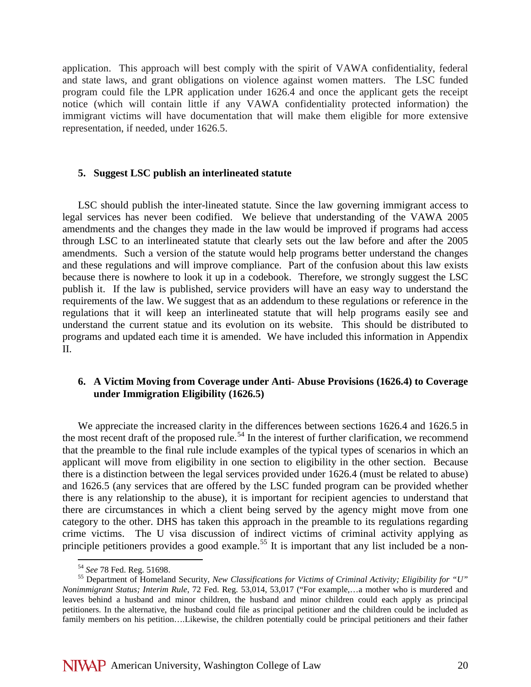application. This approach will best comply with the spirit of VAWA confidentiality, federal and state laws, and grant obligations on violence against women matters. The LSC funded program could file the LPR application under 1626.4 and once the applicant gets the receipt notice (which will contain little if any VAWA confidentiality protected information) the immigrant victims will have documentation that will make them eligible for more extensive representation, if needed, under 1626.5.

#### **5. Suggest LSC publish an interlineated statute**

LSC should publish the inter-lineated statute. Since the law governing immigrant access to legal services has never been codified. We believe that understanding of the VAWA 2005 amendments and the changes they made in the law would be improved if programs had access through LSC to an interlineated statute that clearly sets out the law before and after the 2005 amendments. Such a version of the statute would help programs better understand the changes and these regulations and will improve compliance. Part of the confusion about this law exists because there is nowhere to look it up in a codebook. Therefore, we strongly suggest the LSC publish it. If the law is published, service providers will have an easy way to understand the requirements of the law. We suggest that as an addendum to these regulations or reference in the regulations that it will keep an interlineated statute that will help programs easily see and understand the current statue and its evolution on its website. This should be distributed to programs and updated each time it is amended. We have included this information in Appendix II.

# **6. A Victim Moving from Coverage under Anti- Abuse Provisions (1626.4) to Coverage under Immigration Eligibility (1626.5)**

We appreciate the increased clarity in the differences between sections 1626.4 and 1626.5 in the most recent draft of the proposed rule.<sup>[54](#page-19-0)</sup> In the interest of further clarification, we recommend that the preamble to the final rule include examples of the typical types of scenarios in which an applicant will move from eligibility in one section to eligibility in the other section. Because there is a distinction between the legal services provided under 1626.4 (must be related to abuse) and 1626.5 (any services that are offered by the LSC funded program can be provided whether there is any relationship to the abuse), it is important for recipient agencies to understand that there are circumstances in which a client being served by the agency might move from one category to the other. DHS has taken this approach in the preamble to its regulations regarding crime victims. The U visa discussion of indirect victims of criminal activity applying as principle petitioners provides a good example.<sup>[55](#page-19-1)</sup> It is important that any list included be a non-

<span id="page-19-1"></span><span id="page-19-0"></span><sup>&</sup>lt;sup>54</sup> *See* 78 Fed. Reg. 51698.<br><sup>55</sup> Department of Homeland Security, *New Classifications for Victims of Criminal Activity; Eligibility for "U" Nonimmigrant Status; Interim Rule*, 72 Fed. Reg. 53,014, 53,017 ("For example,…a mother who is murdered and leaves behind a husband and minor children, the husband and minor children could each apply as principal petitioners. In the alternative, the husband could file as principal petitioner and the children could be included as family members on his petition….Likewise, the children potentially could be principal petitioners and their father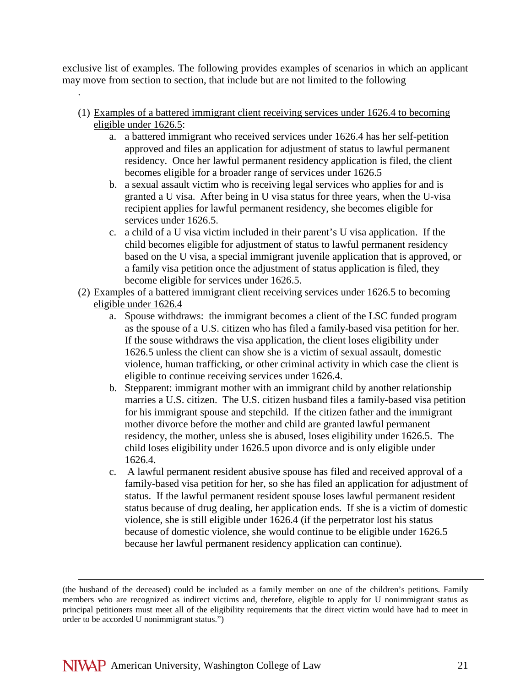exclusive list of examples. The following provides examples of scenarios in which an applicant may move from section to section, that include but are not limited to the following

(1) Examples of a battered immigrant client receiving services under 1626.4 to becoming eligible under 1626.5:

.

 $\overline{a}$ 

- a. a battered immigrant who received services under 1626.4 has her self-petition approved and files an application for adjustment of status to lawful permanent residency. Once her lawful permanent residency application is filed, the client becomes eligible for a broader range of services under 1626.5
- b. a sexual assault victim who is receiving legal services who applies for and is granted a U visa. After being in U visa status for three years, when the U-visa recipient applies for lawful permanent residency, she becomes eligible for services under 1626.5.
- c. a child of a U visa victim included in their parent's U visa application. If the child becomes eligible for adjustment of status to lawful permanent residency based on the U visa, a special immigrant juvenile application that is approved, or a family visa petition once the adjustment of status application is filed, they become eligible for services under 1626.5.
- (2) Examples of a battered immigrant client receiving services under 1626.5 to becoming eligible under 1626.4
	- a. Spouse withdraws: the immigrant becomes a client of the LSC funded program as the spouse of a U.S. citizen who has filed a family-based visa petition for her. If the souse withdraws the visa application, the client loses eligibility under 1626.5 unless the client can show she is a victim of sexual assault, domestic violence, human trafficking, or other criminal activity in which case the client is eligible to continue receiving services under 1626.4.
	- b. Stepparent: immigrant mother with an immigrant child by another relationship marries a U.S. citizen. The U.S. citizen husband files a family-based visa petition for his immigrant spouse and stepchild. If the citizen father and the immigrant mother divorce before the mother and child are granted lawful permanent residency, the mother, unless she is abused, loses eligibility under 1626.5. The child loses eligibility under 1626.5 upon divorce and is only eligible under 1626.4.
	- c. A lawful permanent resident abusive spouse has filed and received approval of a family-based visa petition for her, so she has filed an application for adjustment of status. If the lawful permanent resident spouse loses lawful permanent resident status because of drug dealing, her application ends. If she is a victim of domestic violence, she is still eligible under 1626.4 (if the perpetrator lost his status because of domestic violence, she would continue to be eligible under 1626.5 because her lawful permanent residency application can continue).

<sup>(</sup>the husband of the deceased) could be included as a family member on one of the children's petitions. Family members who are recognized as indirect victims and, therefore, eligible to apply for U nonimmigrant status as principal petitioners must meet all of the eligibility requirements that the direct victim would have had to meet in order to be accorded U nonimmigrant status.")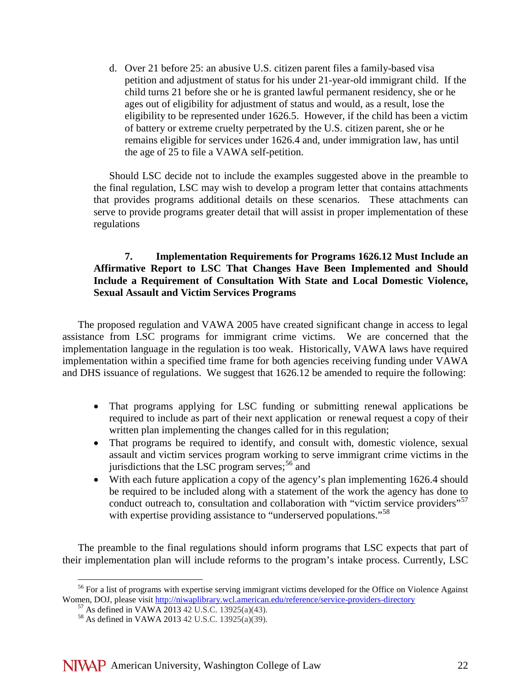d. Over 21 before 25: an abusive U.S. citizen parent files a family-based visa petition and adjustment of status for his under 21-year-old immigrant child. If the child turns 21 before she or he is granted lawful permanent residency, she or he ages out of eligibility for adjustment of status and would, as a result, lose the eligibility to be represented under 1626.5. However, if the child has been a victim of battery or extreme cruelty perpetrated by the U.S. citizen parent, she or he remains eligible for services under 1626.4 and, under immigration law, has until the age of 25 to file a VAWA self-petition.

Should LSC decide not to include the examples suggested above in the preamble to the final regulation, LSC may wish to develop a program letter that contains attachments that provides programs additional details on these scenarios. These attachments can serve to provide programs greater detail that will assist in proper implementation of these regulations

# **7. Implementation Requirements for Programs 1626.12 Must Include an Affirmative Report to LSC That Changes Have Been Implemented and Should Include a Requirement of Consultation With State and Local Domestic Violence, Sexual Assault and Victim Services Programs**

The proposed regulation and VAWA 2005 have created significant change in access to legal assistance from LSC programs for immigrant crime victims. We are concerned that the implementation language in the regulation is too weak. Historically, VAWA laws have required implementation within a specified time frame for both agencies receiving funding under VAWA and DHS issuance of regulations. We suggest that 1626.12 be amended to require the following:

- That programs applying for LSC funding or submitting renewal applications be required to include as part of their next application or renewal request a copy of their written plan implementing the changes called for in this regulation;
- That programs be required to identify, and consult with, domestic violence, sexual assault and victim services program working to serve immigrant crime victims in the jurisdictions that the LSC program serves;<sup>[56](#page-21-0)</sup> and
- With each future application a copy of the agency's plan implementing 1626.4 should be required to be included along with a statement of the work the agency has done to conduct outreach to, consultation and collaboration with "victim service providers"<sup>[57](#page-21-1)</sup> with expertise providing assistance to "underserved populations."<sup>[58](#page-21-2)</sup>

The preamble to the final regulations should inform programs that LSC expects that part of their implementation plan will include reforms to the program's intake process. Currently, LSC

<span id="page-21-2"></span><span id="page-21-1"></span><span id="page-21-0"></span><sup>&</sup>lt;sup>56</sup> For a list of programs with expertise serving immigrant victims developed for the Office on Violence Against Women, DOJ, please visit <u>http://niwaplibrary.wcl.american.edu/reference/service-providers-directory</u><br>
<sup>57</sup> As defined in VAWA 2013 42 U.S.C. 13925(a)(43). <sup>58</sup> As defined in VAWA 2013 42 U.S.C. 13925(a)(39).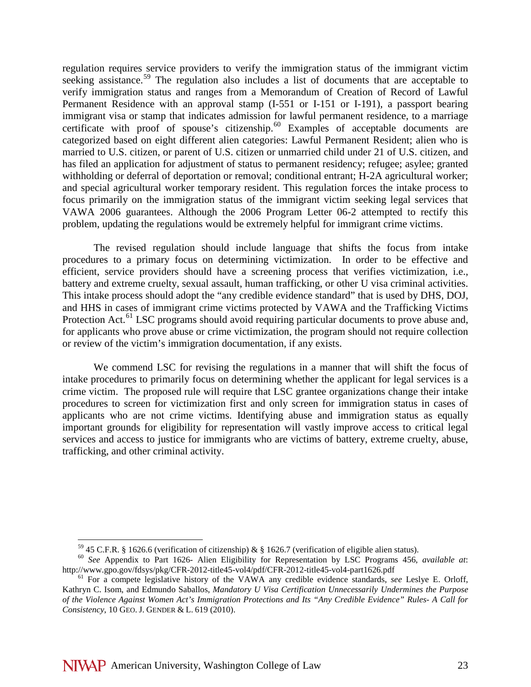regulation requires service providers to verify the immigration status of the immigrant victim seeking assistance.<sup>[59](#page-22-0)</sup> The regulation also includes a list of documents that are acceptable to verify immigration status and ranges from a Memorandum of Creation of Record of Lawful Permanent Residence with an approval stamp (I-551 or I-151 or I-191), a passport bearing immigrant visa or stamp that indicates admission for lawful permanent residence, to a marriage certificate with proof of spouse's citizenship.<sup>[60](#page-22-1)</sup> Examples of acceptable documents are categorized based on eight different alien categories: Lawful Permanent Resident; alien who is married to U.S. citizen, or parent of U.S. citizen or unmarried child under 21 of U.S. citizen, and has filed an application for adjustment of status to permanent residency; refugee; asylee; granted withholding or deferral of deportation or removal; conditional entrant; H-2A agricultural worker; and special agricultural worker temporary resident. This regulation forces the intake process to focus primarily on the immigration status of the immigrant victim seeking legal services that VAWA 2006 guarantees. Although the 2006 Program Letter 06-2 attempted to rectify this problem, updating the regulations would be extremely helpful for immigrant crime victims.

The revised regulation should include language that shifts the focus from intake procedures to a primary focus on determining victimization. In order to be effective and efficient, service providers should have a screening process that verifies victimization, i.e., battery and extreme cruelty, sexual assault, human trafficking, or other U visa criminal activities. This intake process should adopt the "any credible evidence standard" that is used by DHS, DOJ, and HHS in cases of immigrant crime victims protected by VAWA and the Trafficking Victims Protection Act.<sup>[61](#page-22-2)</sup> LSC programs should avoid requiring particular documents to prove abuse and, for applicants who prove abuse or crime victimization, the program should not require collection or review of the victim's immigration documentation, if any exists.

We commend LSC for revising the regulations in a manner that will shift the focus of intake procedures to primarily focus on determining whether the applicant for legal services is a crime victim. The proposed rule will require that LSC grantee organizations change their intake procedures to screen for victimization first and only screen for immigration status in cases of applicants who are not crime victims. Identifying abuse and immigration status as equally important grounds for eligibility for representation will vastly improve access to critical legal services and access to justice for immigrants who are victims of battery, extreme cruelty, abuse, trafficking, and other criminal activity.

<span id="page-22-1"></span><span id="page-22-0"></span><sup>59</sup> 45 C.F.R. § 1626.6 (verification of citizenship) & § 1626.7 (verification of eligible alien status). 60 *See* Appendix to Part 1626- Alien Eligibility for Representation by LSC Programs 456, *available at*:

<span id="page-22-2"></span><sup>&</sup>lt;sup>61</sup> For a compete legislative history of the VAWA any credible evidence standards, *see* Leslye E. Orloff, Kathryn C. Isom, and Edmundo Saballos, *Mandatory U Visa Certification Unnecessarily Undermines the Purpose of the Violence Against Women Act's Immigration Protections and Its "Any Credible Evidence" Rules- A Call for Consistency*, 10 GEO. J. GENDER & L. 619 (2010).